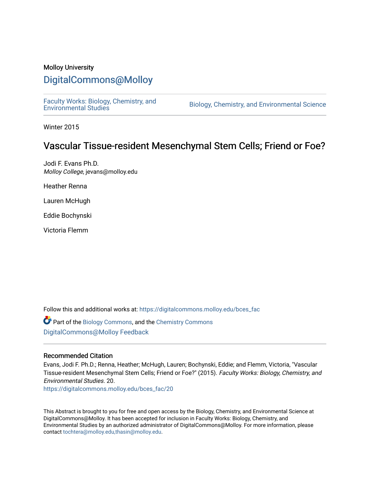#### Molloy University

### [DigitalCommons@Molloy](https://digitalcommons.molloy.edu/)

[Faculty Works: Biology, Chemistry, and](https://digitalcommons.molloy.edu/bces_fac) 

Biology, Chemistry, and Environmental Science

Winter 2015

### Vascular Tissue-resident Mesenchymal Stem Cells; Friend or Foe?

Jodi F. Evans Ph.D. Molloy College, jevans@molloy.edu

Heather Renna

Lauren McHugh

Eddie Bochynski

Victoria Flemm

Follow this and additional works at: [https://digitalcommons.molloy.edu/bces\\_fac](https://digitalcommons.molloy.edu/bces_fac?utm_source=digitalcommons.molloy.edu%2Fbces_fac%2F20&utm_medium=PDF&utm_campaign=PDFCoverPages)

Part of the [Biology Commons,](https://network.bepress.com/hgg/discipline/41?utm_source=digitalcommons.molloy.edu%2Fbces_fac%2F20&utm_medium=PDF&utm_campaign=PDFCoverPages) and the [Chemistry Commons](https://network.bepress.com/hgg/discipline/131?utm_source=digitalcommons.molloy.edu%2Fbces_fac%2F20&utm_medium=PDF&utm_campaign=PDFCoverPages) [DigitalCommons@Molloy Feedback](https://molloy.libwizard.com/f/dcfeedback)

#### Recommended Citation

Evans, Jodi F. Ph.D.; Renna, Heather; McHugh, Lauren; Bochynski, Eddie; and Flemm, Victoria, "Vascular Tissue-resident Mesenchymal Stem Cells; Friend or Foe?" (2015). Faculty Works: Biology, Chemistry, and Environmental Studies. 20.

[https://digitalcommons.molloy.edu/bces\\_fac/20](https://digitalcommons.molloy.edu/bces_fac/20?utm_source=digitalcommons.molloy.edu%2Fbces_fac%2F20&utm_medium=PDF&utm_campaign=PDFCoverPages) 

This Abstract is brought to you for free and open access by the Biology, Chemistry, and Environmental Science at DigitalCommons@Molloy. It has been accepted for inclusion in Faculty Works: Biology, Chemistry, and Environmental Studies by an authorized administrator of DigitalCommons@Molloy. For more information, please contact [tochtera@molloy.edu,thasin@molloy.edu.](mailto:tochtera@molloy.edu,thasin@molloy.edu)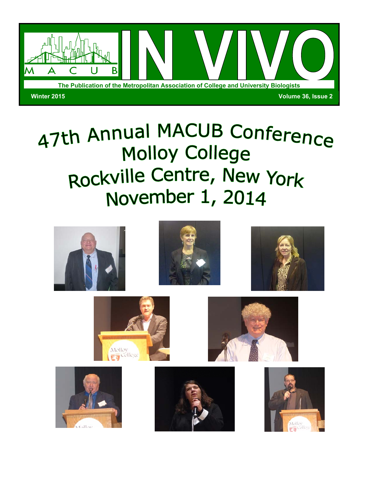

# 47th Annual MACUB Conference **Molloy College** Rockville Centre, New York November 1, 2014

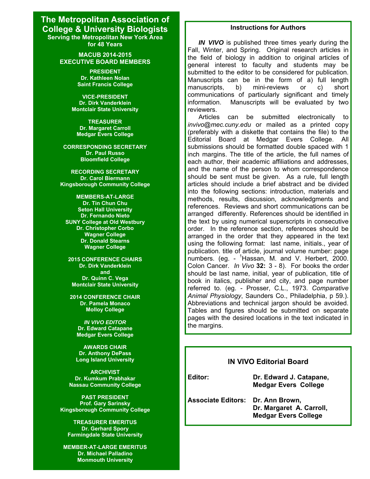#### **The Metropolitan Association of College & University Biologists Serving the Metropolitan New York Area for 48 Years**

**MACUB 2014-2015 EXECUTIVE BOARD MEMBERS**

> **PRESIDENT Dr. Kathleen Nolan Saint Francis College**

**VICE-PRESIDENT Dr. Dirk Vanderklein Montclair State University** 

**TREASURER Dr. Margaret Carroll Medgar Evers College** 

**CORRESPONDING SECRETARY Dr. Paul Russo Bloomfield College** 

**RECORDING SECRETARY Dr. Carol Biermann Kingsborough Community College** 

**MEMBERS-AT-LARGE Dr. Tin Chun Chu Seton Hall University Dr. Fernando Nieto SUNY College at Old Westbury Dr. Christopher Corbo Wagner College Dr. Donald Stearns Wagner College** 

**2015 CONFERENCE CHAIRS Dr. Dirk Vanderklein and Dr. Quinn C. Vega Montclair State University** 

**2014 CONFERENCE CHAIR Dr. Pamela Monaco Molloy College** 

*IN VIVO EDITOR*  **Dr. Edward Catapane Medgar Evers College** 

**AWARDS CHAIR Dr. Anthony DePass Long Island University** 

**ARCHIVIST Dr. Kumkum Prabhakar Nassau Community College** 

**PAST PRESIDENT Prof. Gary Sarinsky Kingsborough Community College** 

**TREASURER EMERITUS Dr. Gerhard Spory Farmingdale State University** 

**Winter 2015** *In Vivo***, Vol 36(2): page 35 MEMBER-AT-LARGE EMERITUS Dr. Michael Palladino Monmouth University**

#### **Instructions for Authors**

*IN VIVO* is published three times yearly during the Fall, Winter, and Spring. Original research articles in the field of biology in addition to original articles of general interest to faculty and students may be submitted to the editor to be considered for publication. Manuscripts can be in the form of a) full length manuscripts, b) mini-reviews or c) short communications of particularly significant and timely information. Manuscripts will be evaluated by two reviewers.

 Articles can be submitted electronically to *invivo@mec.cuny.edu* or mailed as a printed copy (preferably with a diskette that contains the file) to the Editorial Board at Medgar Evers College. All submissions should be formatted double spaced with 1 inch margins. The title of the article, the full names of each author, their academic affiliations and addresses, and the name of the person to whom correspondence should be sent must be given. As a rule, full length articles should include a brief abstract and be divided into the following sections: introduction, materials and methods, results, discussion, acknowledgments and references. Reviews and short communications can be arranged differently. References should be identified in the text by using numerical superscripts in consecutive order. In the reference section, references should be arranged in the order that they appeared in the text using the following format: last name, initials., year of publication. title of article, journal volume number: page numbers. (eg. - <sup>1</sup>Hassan, M. and V. Herbert, 2000. Colon Cancer. *In Vivo* **32:** 3 - 8). For books the order should be last name, initial, year of publication, title of book in italics, publisher and city, and page number referred to. (eg. - Prosser, C.L., 1973. *Comparative Animal Physiology*, Saunders Co., Philadelphia, p 59.). Abbreviations and technical jargon should be avoided. Tables and figures should be submitted on separate pages with the desired locations in the text indicated in the margins.

#### **IN VIVO Editorial Board**

**Editor: Dr. Edward J. Catapane, Medgar Evers College** 

**Associate Editors: Dr. Ann Brown, Dr. Margaret A. Carroll, Medgar Evers College**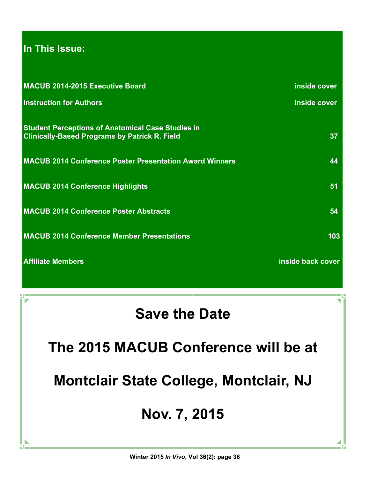## **In This Issue:**

| MACUB 2014-2015 Executive Board                                                                                  | inside cover      |
|------------------------------------------------------------------------------------------------------------------|-------------------|
| <b>Instruction for Authors</b>                                                                                   | inside cover      |
|                                                                                                                  |                   |
| <b>Student Perceptions of Anatomical Case Studies in</b><br><b>Clinically-Based Programs by Patrick R. Field</b> | 37 <sup>°</sup>   |
|                                                                                                                  |                   |
| <b>MACUB 2014 Conference Poster Presentation Award Winners</b>                                                   | 44                |
| <b>MACUB 2014 Conference Highlights</b>                                                                          | 51                |
|                                                                                                                  |                   |
| <b>MACUB 2014 Conference Poster Abstracts</b>                                                                    | 54                |
| <b>MACUB 2014 Conference Member Presentations</b>                                                                | 103               |
|                                                                                                                  |                   |
| <b>Affiliate Members</b>                                                                                         | inside back cover |

# **Save the Date**

**The 2015 MACUB Conference will be at** 

**Montclair State College, Montclair, NJ** 

# **Nov. 7, 2015**